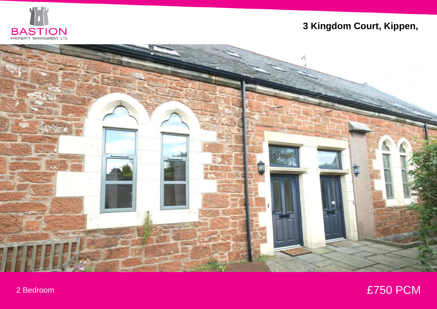

## **3 Kingdom Court, Kippen,**



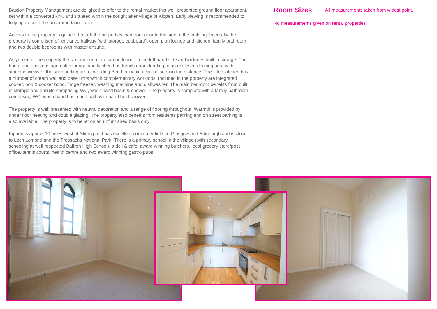Bastion Property Management are delighted to offer to the rental market this well presented ground floor apartment, set within a converted kirk, and situated within the sought after village of Kippen. Early viewing is recommended to fully appreciate the accommodation offer.

Access to the property is gained through the properties own front door to the side of the building. Internally the property is comprised of; entrance hallway (with storage cupboard), open plan lounge and kitchen, family bathroom and two double bedrooms with master ensuite.

As you enter the property the second bedroom can be found on the left hand side and includes built in storage. The bright and spacious open plan lounge and kitchen has french doors leading to an enclosed decking area with stunning views of the surrounding area, including Ben Ledi which can be seen in the distance. The fitted kitchen has a number of cream wall and base units which complementary worktops. Included in the property are integrated cooker, hob & cooker hood, fridge freezer, washing machine and dishwasher. The main bedroom benefits from built in storage and ensuite comprising WC, wash hand basin & shower. The property is complete with a family bathroom comprising WC, wash hand basin and bath with hand held shower.

The property is well presented with neutral decoration and a range of flooring throughout. Warmth is provided by under floor heating and double glazing. The property also benefits from residents parking and on street parking is also available. The property is to be let on an unfurnished basis only.

Kippen is approx 10 miles west of Stirling and has excellent commuter links to Glasgow and Edinburgh and is close to Loch Lomond and the Trossachs National Park. There is a primary school in the village (with secondary schooling at well respected Balfron High School), a deli & cafe, award winning butchers, local grocery store/post office, tennis courts, health centre and two award winning gastro pubs.

No measurements given on rental properties

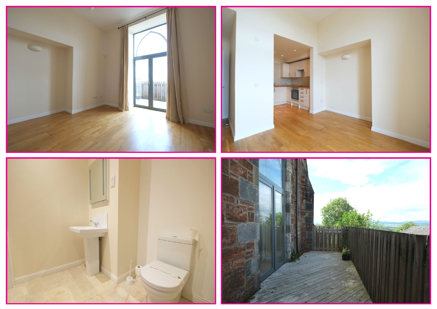